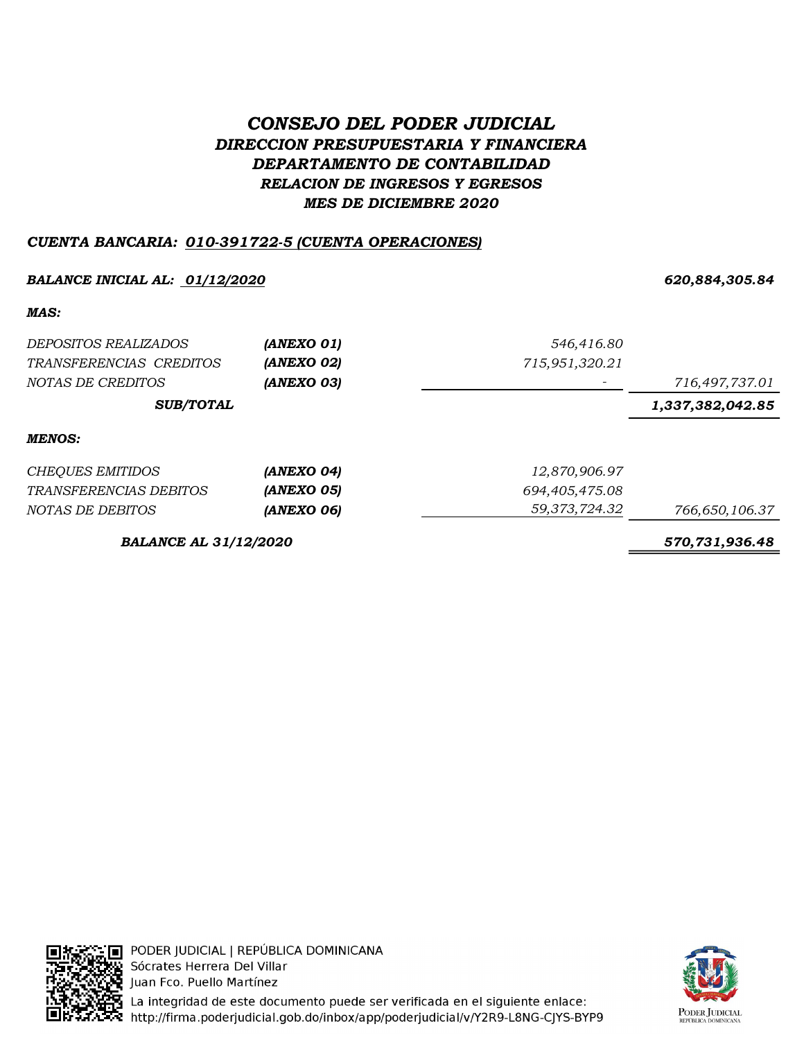# CONSEJO DEL PODER JUDICIAL DIRECCION PRESUPUESTARIA Y FINANCIERA DEPARTAMENTO DE CONTABILIDAD RELACION DE INGRESOS Y EGRESOS MES DE DICIEMBRE 2020

# CUENTA BANCARIA: 010-391722-5 (CUENTA OPERACIONES)

### BALANCE INICIAL AL: <u>01/12/2020</u> 620,884,305.84

MAS:

| <i>DEPOSITOS REALIZADOS</i>   | (ANEXO 01) | 546,416.80     |                  |
|-------------------------------|------------|----------------|------------------|
| TRANSFERENCIAS CREDITOS       | (ANEXO 02) | 715,951,320.21 |                  |
| NOTAS DE CREDITOS             | (ANEXO 03) |                | 716,497,737.01   |
| <b>SUB/TOTAL</b>              |            |                | 1,337,382,042.85 |
| <b>MENOS:</b>                 |            |                |                  |
| <b>CHEQUES EMITIDOS</b>       | (ANEXO 04) | 12,870,906.97  |                  |
| <i>TRANSFERENCIAS DEBITOS</i> | (ANEXO 05) | 694,405,475.08 |                  |
| NOTAS DE DEBITOS              | (ANEXO 06) | 59,373,724.32  | 766,650,106.37   |
|                               |            |                |                  |

BALANCE AL 31/12/2020 570,731,936.48



PODER JUDICIAL | REPÚBLICA DOMINICANA Sócrates Herrera Del Villar Juan Fco. Puello Martínez



La integridad de este documento puede ser verificada en el siguiente enlace: http://firma.poderjudicial.gob.do/inbox/app/poderjudicial/v/Y2R9-L8NG-CJYS-BYP9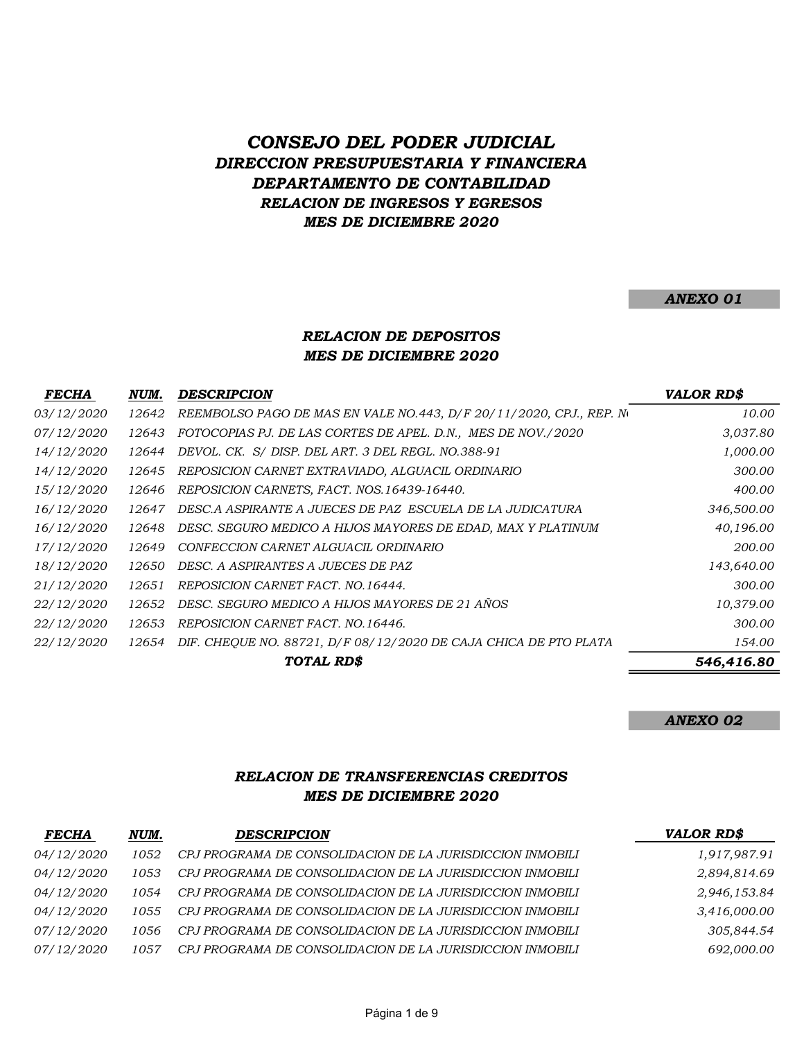# CONSEJO DEL PODER JUDICIAL DIRECCION PRESUPUESTARIA Y FINANCIERA DEPARTAMENTO DE CONTABILIDAD RELACION DE INGRESOS Y EGRESOS MES DE DICIEMBRE 2020

#### ANEXO 01

#### MES DE DICIEMBRE 2020 RELACION DE DEPOSITOS

| <i>FECHA</i>      | NUM.  | DESCRIPCION                                                         | <b>VALOR RD\$</b> |
|-------------------|-------|---------------------------------------------------------------------|-------------------|
| <i>03/12/2020</i> | 12642 | REEMBOLSO PAGO DE MAS EN VALE NO.443, D/F 20/11/2020, CPJ., REP. No | 10.00             |
| <i>07/12/2020</i> | 12643 | FOTOCOPIAS PJ. DE LAS CORTES DE APEL. D.N., MES DE NOV./2020        | 3,037.80          |
| <i>14/12/2020</i> | 12644 | DEVOL. CK. S/ DISP. DEL ART. 3 DEL REGL. NO.388-91                  | 1,000.00          |
| <i>14/12/2020</i> | 12645 | REPOSICION CARNET EXTRAVIADO, ALGUACIL ORDINARIO                    | 300.00            |
| 15/12/2020        | 12646 | REPOSICION CARNETS, FACT. NOS.16439-16440.                          | 400.00            |
| 16/12/2020        | 12647 | DESC.A ASPIRANTE A JUECES DE PAZ ESCUELA DE LA JUDICATURA           | 346,500.00        |
| 16/12/2020        | 12648 | DESC. SEGURO MEDICO A HIJOS MAYORES DE EDAD, MAX Y PLATINUM         | 40,196.00         |
| 17/12/2020        | 12649 | CONFECCION CARNET ALGUACIL ORDINARIO                                | 200.00            |
| <i>18/12/2020</i> | 12650 | DESC. A ASPIRANTES A JUECES DE PAZ                                  | 143,640.00        |
| 21/12/2020        | 12651 | REPOSICION CARNET FACT. NO.16444.                                   | 300.00            |
| 22/12/2020        | 12652 | DESC. SEGURO MEDICO A HIJOS MAYORES DE 21 AÑOS                      | 10,379.00         |
| <i>22/12/2020</i> | 12653 | REPOSICION CARNET FACT. NO.16446.                                   | 300.00            |
| <i>22/12/2020</i> | 12654 | DIF. CHEQUE NO. 88721, D/F 08/12/2020 DE CAJA CHICA DE PTO PLATA    | 154.00            |
|                   |       | TOTAL RD\$                                                          | 546,416.80        |

ANEXO 02

### RELACION DE TRANSFERENCIAS CREDITOS MES DE DICIEMBRE 2020

| <b>FECHA</b>      | NUM. | <b>DESCRIPCION</b>                                        | <b>VALOR RD\$</b> |
|-------------------|------|-----------------------------------------------------------|-------------------|
| <i>04/12/2020</i> | 1052 | CPJ PROGRAMA DE CONSOLIDACION DE LA JURISDICCION INMOBILI | 1,917,987.91      |
| <i>04/12/2020</i> | 1053 | CPJ PROGRAMA DE CONSOLIDACION DE LA JURISDICCION INMOBILI | 2,894,814.69      |
| <i>04/12/2020</i> | 1054 | CPJ PROGRAMA DE CONSOLIDACION DE LA JURISDICCION INMOBILI | 2,946,153.84      |
| <i>04/12/2020</i> | 1055 | CPJ PROGRAMA DE CONSOLIDACION DE LA JURISDICCION INMOBILI | 3,416,000.00      |
| <i>07/12/2020</i> | 1056 | CPJ PROGRAMA DE CONSOLIDACION DE LA JURISDICCION INMOBILI | 305,844.54        |
| <i>07/12/2020</i> | 1057 | CPJ PROGRAMA DE CONSOLIDACION DE LA JURISDICCION INMOBILI | 692,000.00        |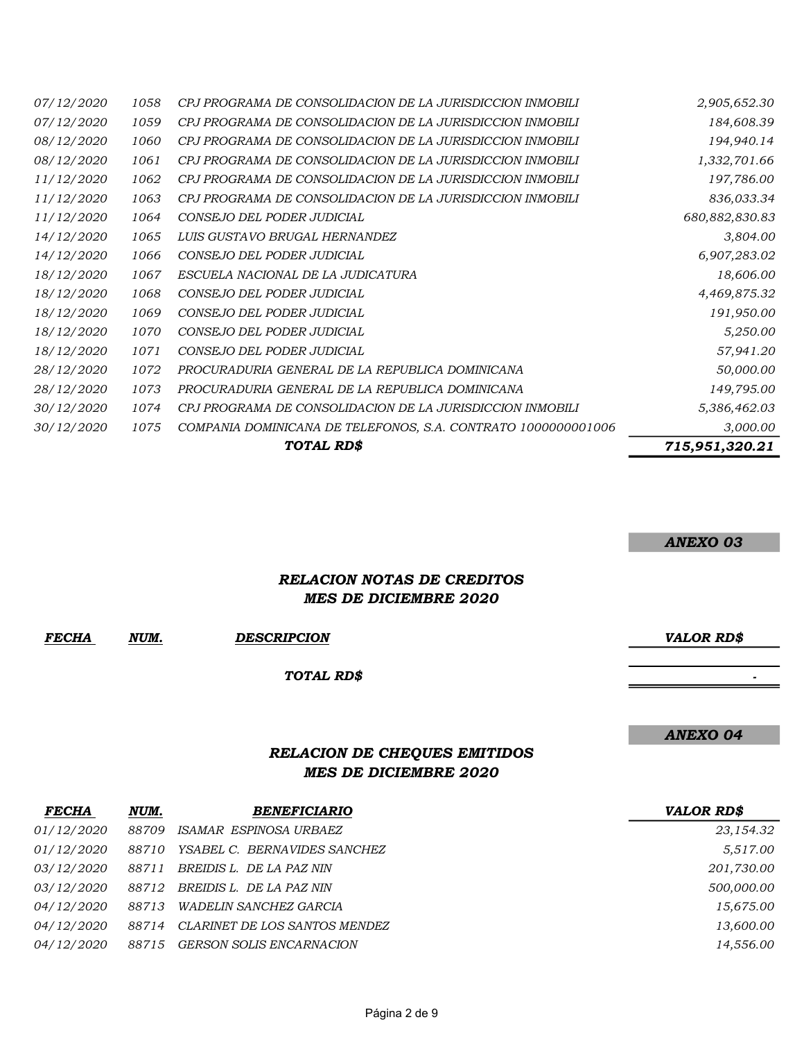|                   |      | TOTAL RD\$                                                    | 715,951,320.21 |
|-------------------|------|---------------------------------------------------------------|----------------|
| 30/12/2020        | 1075 | COMPANIA DOMINICANA DE TELEFONOS, S.A. CONTRATO 1000000001006 | 3,000.00       |
| <i>30/12/2020</i> | 1074 | CPJ PROGRAMA DE CONSOLIDACION DE LA JURISDICCION INMOBILI     | 5,386,462.03   |
| 28/12/2020        | 1073 | PROCURADURIA GENERAL DE LA REPUBLICA DOMINICANA               | 149,795.00     |
| 28/12/2020        | 1072 | PROCURADURIA GENERAL DE LA REPUBLICA DOMINICANA               | 50,000.00      |
| 18/12/2020        | 1071 | CONSEJO DEL PODER JUDICIAL                                    | 57,941.20      |
| 18/12/2020        | 1070 | CONSEJO DEL PODER JUDICIAL                                    | 5,250.00       |
| <i>18/12/2020</i> | 1069 | CONSEJO DEL PODER JUDICIAL                                    | 191,950.00     |
| 18/12/2020        | 1068 | CONSEJO DEL PODER JUDICIAL                                    | 4,469,875.32   |
| <i>18/12/2020</i> | 1067 | ESCUELA NACIONAL DE LA JUDICATURA                             | 18,606.00      |
| <i>14/12/2020</i> | 1066 | CONSEJO DEL PODER JUDICIAL                                    | 6,907,283.02   |
| 14/12/2020        | 1065 | LUIS GUSTAVO BRUGAL HERNANDEZ                                 | 3,804.00       |
| <i>11/12/2020</i> | 1064 | CONSEJO DEL PODER JUDICIAL                                    | 680,882,830.83 |
| 11/12/2020        | 1063 | CPJ PROGRAMA DE CONSOLIDACION DE LA JURISDICCION INMOBILI     | 836,033.34     |
| 11/12/2020        | 1062 | CPJ PROGRAMA DE CONSOLIDACION DE LA JURISDICCION INMOBILI     | 197,786.00     |
| <i>08/12/2020</i> | 1061 | CPJ PROGRAMA DE CONSOLIDACION DE LA JURISDICCION INMOBILI     | 1,332,701.66   |
| <i>08/12/2020</i> | 1060 | CPJ PROGRAMA DE CONSOLIDACION DE LA JURISDICCION INMOBILI     | 194,940.14     |
| <i>07/12/2020</i> | 1059 | CPJ PROGRAMA DE CONSOLIDACION DE LA JURISDICCION INMOBILI     | 184,608.39     |
| <i>07/12/2020</i> | 1058 | CPJ PROGRAMA DE CONSOLIDACION DE LA JURISDICCION INMOBILI     | 2,905,652.30   |

ANEXO 03

### RELACION NOTAS DE CREDITOS MES DE DICIEMBRE 2020

FECHA NUM. DESCRIPCION VALOR RD\$

TOTAL RD\$

# ANEXO 04

- 1990 - 1990 - 1990 - 1990 - 1991 - 1992<br>1992 - 1992 - 1992 - 1992 - 1992 - 1992 - 1992 - 1992 - 1992 - 1992 - 1992 - 1992 - 1992 - 1992 - 1992 - 1992

# RELACION DE CHEQUES EMITIDOS MES DE DICIEMBRE 2020

| <b>FECHA</b>      | NUM.  | <b>BENEFICIARIO</b>             | <b>VALOR RD\$</b> |
|-------------------|-------|---------------------------------|-------------------|
| <i>01/12/2020</i> | 88709 | ISAMAR ESPINOSA URBAEZ          | 23,154.32         |
| <i>01/12/2020</i> | 88710 | YSABEL C. BERNAVIDES SANCHEZ    | 5,517.00          |
| <i>03/12/2020</i> | 88711 | BREIDIS L. DE LA PAZ NIN        | 201,730.00        |
| <i>03/12/2020</i> | 88712 | BREIDIS L. DE LA PAZ NIN        | 500,000.00        |
| <i>04/12/2020</i> | 88713 | <i>WADELIN SANCHEZ GARCIA</i>   | 15,675.00         |
| <i>04/12/2020</i> | 88714 | CLARINET DE LOS SANTOS MENDEZ   | 13,600.00         |
| <i>04/12/2020</i> | 88715 | <b>GERSON SOLIS ENCARNACION</b> | 14.556.00         |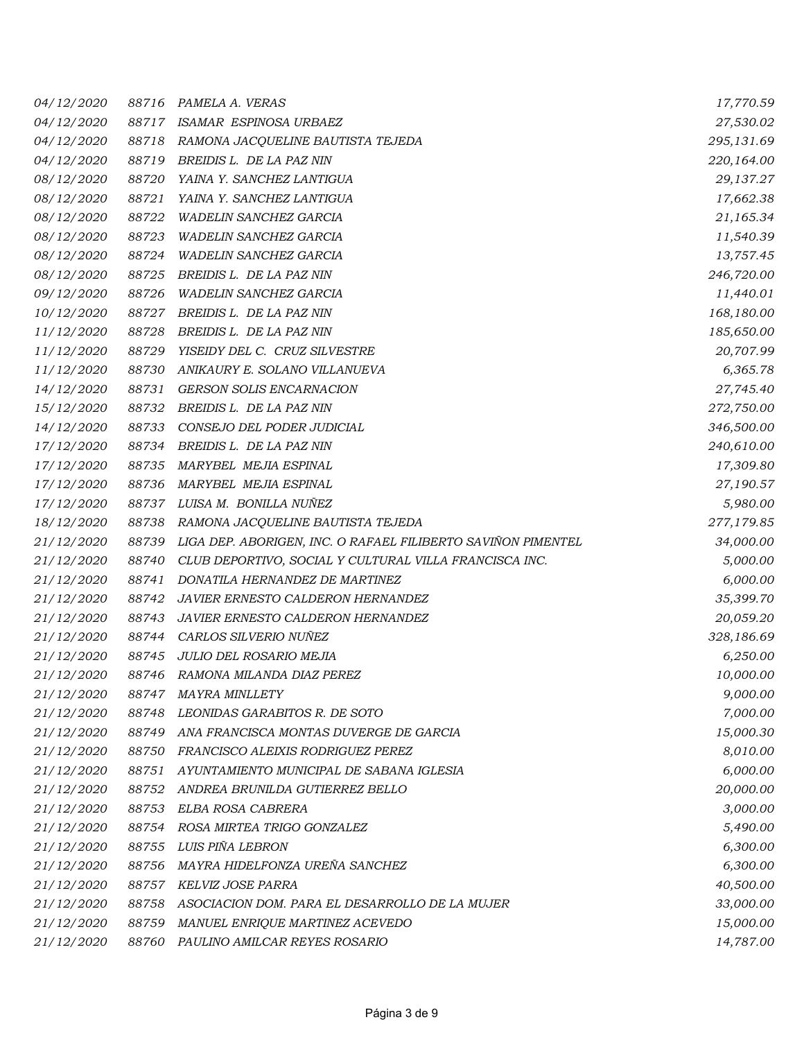| 04/12/2020        | 88716 | PAMELA A. VERAS                                              | 17,770.59  |
|-------------------|-------|--------------------------------------------------------------|------------|
| 04/12/2020        | 88717 | ISAMAR ESPINOSA URBAEZ                                       | 27,530.02  |
| <i>04/12/2020</i> | 88718 | RAMONA JACQUELINE BAUTISTA TEJEDA                            | 295,131.69 |
| 04/12/2020        | 88719 | BREIDIS L. DE LA PAZ NIN                                     | 220,164.00 |
| 08/12/2020        | 88720 | YAINA Y. SANCHEZ LANTIGUA                                    | 29,137.27  |
| 08/12/2020        | 88721 | YAINA Y. SANCHEZ LANTIGUA                                    | 17,662.38  |
| 08/12/2020        | 88722 | WADELIN SANCHEZ GARCIA                                       | 21,165.34  |
| 08/12/2020        | 88723 | WADELIN SANCHEZ GARCIA                                       | 11,540.39  |
| 08/12/2020        | 88724 | WADELIN SANCHEZ GARCIA                                       | 13,757.45  |
| 08/12/2020        | 88725 | BREIDIS L. DE LA PAZ NIN                                     | 246,720.00 |
| 09/12/2020        | 88726 | <b>WADELIN SANCHEZ GARCIA</b>                                | 11,440.01  |
| <i>10/12/2020</i> | 88727 | BREIDIS L. DE LA PAZ NIN                                     | 168,180.00 |
| 11/12/2020        | 88728 | BREIDIS L. DE LA PAZ NIN                                     | 185,650.00 |
| 11/12/2020        | 88729 | YISEIDY DEL C. CRUZ SILVESTRE                                | 20,707.99  |
| 11/12/2020        | 88730 | ANIKAURY E. SOLANO VILLANUEVA                                | 6,365.78   |
| 14/12/2020        | 88731 | <b>GERSON SOLIS ENCARNACION</b>                              | 27,745.40  |
| <i>15/12/2020</i> | 88732 | BREIDIS L. DE LA PAZ NIN                                     | 272,750.00 |
| 14/12/2020        | 88733 | CONSEJO DEL PODER JUDICIAL                                   | 346,500.00 |
| 17/12/2020        | 88734 | BREIDIS L. DE LA PAZ NIN                                     | 240,610.00 |
| 17/12/2020        | 88735 | MARYBEL MEJIA ESPINAL                                        | 17,309.80  |
| <i>17/12/2020</i> | 88736 | MARYBEL MEJIA ESPINAL                                        | 27,190.57  |
| <i>17/12/2020</i> | 88737 | LUISA M. BONILLA NUÑEZ                                       | 5,980.00   |
| 18/12/2020        | 88738 | RAMONA JACQUELINE BAUTISTA TEJEDA                            | 277,179.85 |
| <i>21/12/2020</i> | 88739 | LIGA DEP. ABORIGEN, INC. O RAFAEL FILIBERTO SAVIÑON PIMENTEL | 34,000.00  |
| <i>21/12/2020</i> | 88740 | CLUB DEPORTIVO, SOCIAL Y CULTURAL VILLA FRANCISCA INC.       | 5,000.00   |
| 21/12/2020        | 88741 | DONATILA HERNANDEZ DE MARTINEZ                               | 6,000.00   |
| <i>21/12/2020</i> | 88742 | JAVIER ERNESTO CALDERON HERNANDEZ                            | 35,399.70  |
| <i>21/12/2020</i> | 88743 | <b>JAVIER ERNESTO CALDERON HERNANDEZ</b>                     | 20,059.20  |
| 21/12/2020        | 88744 | CARLOS SILVERIO NUÑEZ                                        | 328,186.69 |
| 21/12/2020        | 88745 | JULIO DEL ROSARIO MEJIA                                      | 6,250.00   |
| 21/12/2020        | 88746 | RAMONA MILANDA DIAZ PEREZ                                    | 10,000.00  |
| <i>21/12/2020</i> | 88747 | MAYRA MINLLETY                                               | 9,000.00   |
| 21/12/2020        | 88748 | LEONIDAS GARABITOS R. DE SOTO                                | 7,000.00   |
| 21/12/2020        | 88749 | ANA FRANCISCA MONTAS DUVERGE DE GARCIA                       | 15,000.30  |
| 21/12/2020        | 88750 | FRANCISCO ALEIXIS RODRIGUEZ PEREZ                            | 8,010.00   |
| 21/12/2020        | 88751 | AYUNTAMIENTO MUNICIPAL DE SABANA IGLESIA                     | 6,000.00   |
| 21/12/2020        | 88752 | ANDREA BRUNILDA GUTIERREZ BELLO                              | 20,000.00  |
| <i>21/12/2020</i> | 88753 | ELBA ROSA CABRERA                                            | 3,000.00   |
| <i>21/12/2020</i> | 88754 | ROSA MIRTEA TRIGO GONZALEZ                                   | 5,490.00   |
| 21/12/2020        | 88755 | LUIS PIÑA LEBRON                                             | 6,300.00   |
| <i>21/12/2020</i> | 88756 | MAYRA HIDELFONZA UREÑA SANCHEZ                               | 6,300.00   |
| 21/12/2020        | 88757 | KELVIZ JOSE PARRA                                            | 40,500.00  |
| <i>21/12/2020</i> | 88758 | ASOCIACION DOM. PARA EL DESARROLLO DE LA MUJER               | 33,000.00  |
| <i>21/12/2020</i> | 88759 | MANUEL ENRIQUE MARTINEZ ACEVEDO                              | 15,000.00  |
| 21/12/2020        | 88760 | PAULINO AMILCAR REYES ROSARIO                                | 14,787.00  |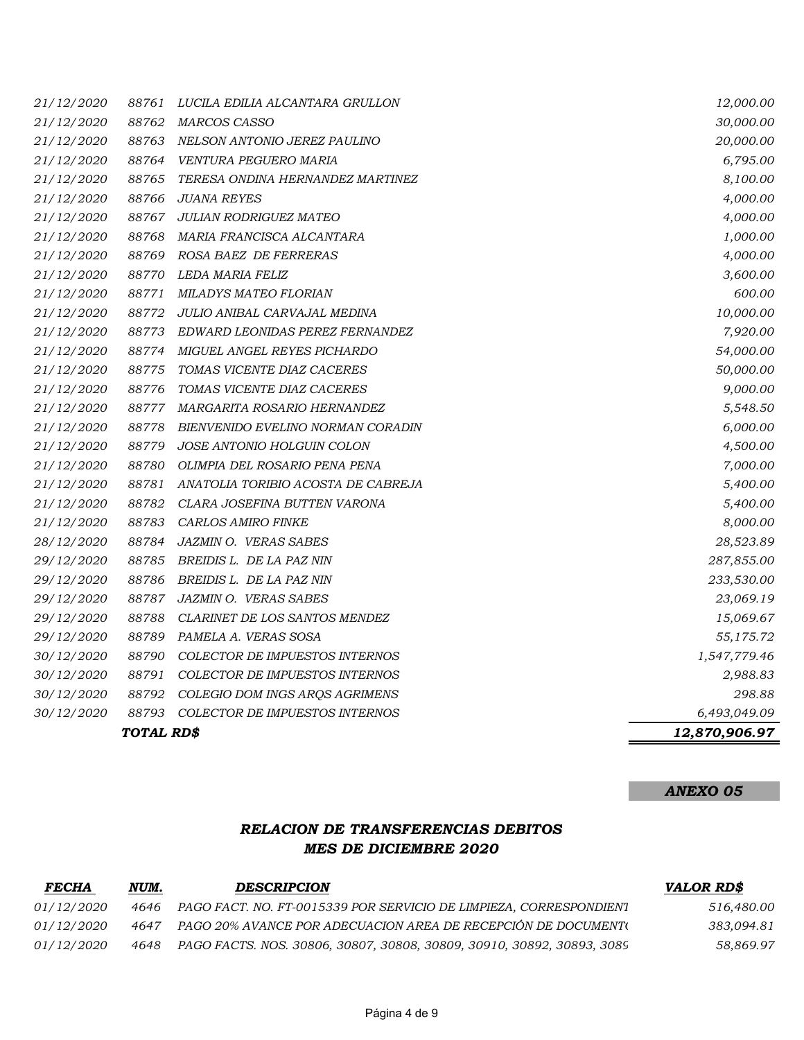|                   | TOTAL RD\$ |                                       | 12,870,906.97 |
|-------------------|------------|---------------------------------------|---------------|
| 30/12/2020        | 88793      | COLECTOR DE IMPUESTOS INTERNOS        | 6,493,049.09  |
| 30/12/2020        | 88792      | COLEGIO DOM INGS ARQS AGRIMENS        | 298.88        |
| 30/12/2020        | 88791      | COLECTOR DE IMPUESTOS INTERNOS        | 2,988.83      |
| 30/12/2020        | 88790      | <b>COLECTOR DE IMPUESTOS INTERNOS</b> | 1,547,779.46  |
| 29/12/2020        | 88789      | PAMELA A. VERAS SOSA                  | 55,175.72     |
| <i>29/12/2020</i> | 88788      | CLARINET DE LOS SANTOS MENDEZ         | 15,069.67     |
| <i>29/12/2020</i> | 88787      | JAZMIN O. VERAS SABES                 | 23,069.19     |
| 29/12/2020        | 88786      | BREIDIS L. DE LA PAZ NIN              | 233,530.00    |
| <i>29/12/2020</i> | 88785      | BREIDIS L. DE LA PAZ NIN              | 287,855.00    |
| 28/12/2020        | 88784      | <b>JAZMIN O. VERAS SABES</b>          | 28,523.89     |
| 21/12/2020        | 88783      | <b>CARLOS AMIRO FINKE</b>             | 8,000.00      |
| 21/12/2020        | 88782      | CLARA JOSEFINA BUTTEN VARONA          | 5,400.00      |
| 21/12/2020        | 88781      | ANATOLIA TORIBIO ACOSTA DE CABREJA    | 5,400.00      |
| 21/12/2020        | 88780      | OLIMPIA DEL ROSARIO PENA PENA         | 7,000.00      |
| 21/12/2020        | 88779      | <b>JOSE ANTONIO HOLGUIN COLON</b>     | 4,500.00      |
| 21/12/2020        | 88778      | BIENVENIDO EVELINO NORMAN CORADIN     | 6,000.00      |
| 21/12/2020        | 88777      | <i>MARGARITA ROSARIO HERNANDEZ</i>    | 5,548.50      |
| 21/12/2020        | 88776      | TOMAS VICENTE DIAZ CACERES            | 9,000.00      |
| <i>21/12/2020</i> | 88775      | TOMAS VICENTE DIAZ CACERES            | 50,000.00     |
| <i>21/12/2020</i> | 88774      | MIGUEL ANGEL REYES PICHARDO           | 54,000.00     |
| 21/12/2020        | 88773      | EDWARD LEONIDAS PEREZ FERNANDEZ       | 7,920.00      |
| 21/12/2020        | 88772      | JULIO ANIBAL CARVAJAL MEDINA          | 10,000.00     |
| 21/12/2020        | 88771      | MILADYS MATEO FLORIAN                 | 600.00        |
| <i>21/12/2020</i> | 88770      | LEDA MARIA FELIZ                      | 3,600.00      |
| 21/12/2020        | 88769      | ROSA BAEZ DE FERRERAS                 | 4,000.00      |
| 21/12/2020        | 88768      | MARIA FRANCISCA ALCANTARA             | 1,000.00      |
| 21/12/2020        | 88767      | <b>JULIAN RODRIGUEZ MATEO</b>         | 4,000.00      |
| 21/12/2020        | 88766      | <b>JUANA REYES</b>                    | 4,000.00      |
| <i>21/12/2020</i> | 88765      | TERESA ONDINA HERNANDEZ MARTINEZ      | 8,100.00      |
| 21/12/2020        | 88764      | VENTURA PEGUERO MARIA                 | 6,795.00      |
| 21/12/2020        | 88763      | NELSON ANTONIO JEREZ PAULINO          | 20,000.00     |
| 21/12/2020        | 88762      | <b>MARCOS CASSO</b>                   | 30,000.00     |
| 21/12/2020        | 88761      | LUCILA EDILIA ALCANTARA GRULLON       | 12,000.00     |

# ANEXO 05

## RELACION DE TRANSFERENCIAS DEBITOS MES DE DICIEMBRE 2020

| <b>FECHA</b>      | NUM. | <b>DESCRIPCION</b>                                                     | <i>VALOR RD\$</i> |
|-------------------|------|------------------------------------------------------------------------|-------------------|
| <i>01/12/2020</i> | 4646 | PAGO FACT. NO. FT-0015339 POR SERVICIO DE LIMPIEZA, CORRESPONDIENT     | 516,480.00        |
| <i>01/12/2020</i> | 4647 | PAGO 20% AVANCE POR ADECUACION AREA DE RECEPCIÓN DE DOCUMENT(          | 383.094.81        |
| <i>01/12/2020</i> | 4648 | PAGO FACTS. NOS. 30806, 30807, 30808, 30809, 30910, 30892, 30893, 3089 | 58.869.97         |
|                   |      |                                                                        |                   |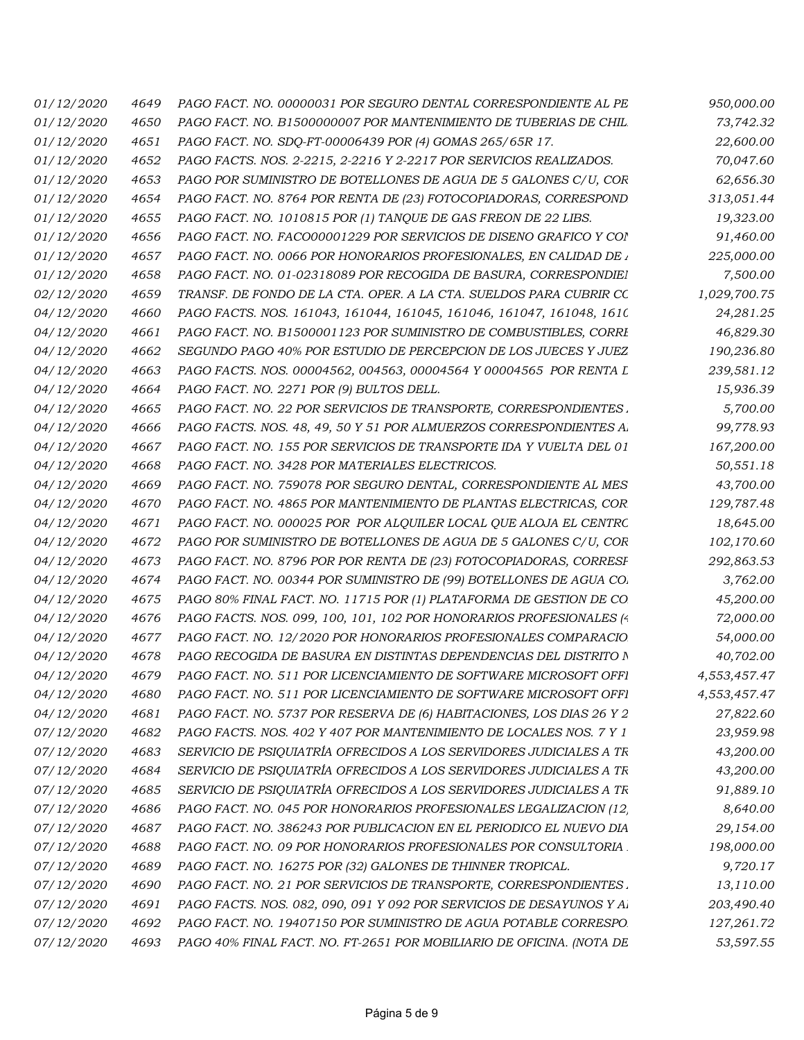| 01/12/2020        | 4649 | PAGO FACT. NO. 00000031 POR SEGURO DENTAL CORRESPONDIENTE AL PE       | 950,000.00   |
|-------------------|------|-----------------------------------------------------------------------|--------------|
| 01/12/2020        | 4650 | PAGO FACT. NO. B1500000007 POR MANTENIMIENTO DE TUBERIAS DE CHIL.     | 73,742.32    |
| 01/12/2020        | 4651 | PAGO FACT. NO. SDQ-FT-00006439 POR (4) GOMAS 265/65R 17.              | 22,600.00    |
| 01/12/2020        | 4652 | PAGO FACTS. NOS. 2-2215, 2-2216 Y 2-2217 POR SERVICIOS REALIZADOS.    | 70,047.60    |
| 01/12/2020        | 4653 | PAGO POR SUMINISTRO DE BOTELLONES DE AGUA DE 5 GALONES C/U, COR       | 62,656.30    |
| 01/12/2020        | 4654 | PAGO FACT. NO. 8764 POR RENTA DE (23) FOTOCOPIADORAS, CORRESPOND.     | 313,051.44   |
| 01/12/2020        | 4655 | PAGO FACT. NO. 1010815 POR (1) TANQUE DE GAS FREON DE 22 LIBS.        | 19,323.00    |
| 01/12/2020        | 4656 | PAGO FACT. NO. FACO00001229 POR SERVICIOS DE DISENO GRAFICO Y CON     | 91,460.00    |
| 01/12/2020        | 4657 | PAGO FACT. NO. 0066 POR HONORARIOS PROFESIONALES, EN CALIDAD DE 1     | 225,000.00   |
| 01/12/2020        | 4658 | PAGO FACT. NO. 01-02318089 POR RECOGIDA DE BASURA, CORRESPONDIEI      | 7,500.00     |
| 02/12/2020        | 4659 | TRANSF. DE FONDO DE LA CTA. OPER. A LA CTA. SUELDOS PARA CUBRIR CC    | 1,029,700.75 |
| 04/12/2020        | 4660 | PAGO FACTS. NOS. 161043, 161044, 161045, 161046, 161047, 161048, 1610 | 24,281.25    |
| 04/12/2020        | 4661 | PAGO FACT. NO. B1500001123 POR SUMINISTRO DE COMBUSTIBLES, CORRI      | 46,829.30    |
| 04/12/2020        | 4662 | SEGUNDO PAGO 40% POR ESTUDIO DE PERCEPCION DE LOS JUECES Y JUEZ       | 190,236.80   |
| 04/12/2020        | 4663 | PAGO FACTS. NOS. 00004562, 004563, 00004564 Y 00004565 POR RENTA L    | 239,581.12   |
| 04/12/2020        | 4664 | PAGO FACT. NO. 2271 POR (9) BULTOS DELL.                              | 15,936.39    |
| 04/12/2020        | 4665 | PAGO FACT. NO. 22 POR SERVICIOS DE TRANSPORTE, CORRESPONDIENTES.      | 5,700.00     |
| 04/12/2020        | 4666 | PAGO FACTS. NOS. 48, 49, 50 Y 51 POR ALMUERZOS CORRESPONDIENTES A     | 99,778.93    |
| 04/12/2020        | 4667 | PAGO FACT. NO. 155 POR SERVICIOS DE TRANSPORTE IDA Y VUELTA DEL 01    | 167,200.00   |
| 04/12/2020        | 4668 | PAGO FACT. NO. 3428 POR MATERIALES ELECTRICOS.                        | 50,551.18    |
| 04/12/2020        | 4669 | PAGO FACT. NO. 759078 POR SEGURO DENTAL, CORRESPONDIENTE AL MES       | 43,700.00    |
| 04/12/2020        | 4670 | PAGO FACT. NO. 4865 POR MANTENIMIENTO DE PLANTAS ELECTRICAS, COR.     | 129,787.48   |
| 04/12/2020        | 4671 | PAGO FACT. NO. 000025 POR POR ALQUILER LOCAL QUE ALOJA EL CENTRC      | 18,645.00    |
| 04/12/2020        | 4672 | PAGO POR SUMINISTRO DE BOTELLONES DE AGUA DE 5 GALONES C/U, COR       | 102,170.60   |
| 04/12/2020        | 4673 | PAGO FACT. NO. 8796 POR POR RENTA DE (23) FOTOCOPIADORAS, CORRESF     | 292,863.53   |
| 04/12/2020        | 4674 | PAGO FACT. NO. 00344 POR SUMINISTRO DE (99) BOTELLONES DE AGUA CO.    | 3,762.00     |
| <i>04/12/2020</i> | 4675 | PAGO 80% FINAL FACT. NO. 11715 POR (1) PLATAFORMA DE GESTION DE CO.   | 45,200.00    |
| 04/12/2020        | 4676 | PAGO FACTS. NOS. 099, 100, 101, 102 POR HONORARIOS PROFESIONALES (4   | 72,000.00    |
| 04/12/2020        | 4677 | PAGO FACT. NO. 12/2020 POR HONORARIOS PROFESIONALES COMPARACIO        | 54,000.00    |
| 04/12/2020        | 4678 | PAGO RECOGIDA DE BASURA EN DISTINTAS DEPENDENCIAS DEL DISTRITO N      | 40,702.00    |
| 04/12/2020        | 4679 | PAGO FACT. NO. 511 POR LICENCIAMIENTO DE SOFTWARE MICROSOFT OFFI      | 4,553,457.47 |
| 04/12/2020        | 4680 | PAGO FACT. NO. 511 POR LICENCIAMIENTO DE SOFTWARE MICROSOFT OFFI      | 4,553,457.47 |
| 04/12/2020        | 4681 | PAGO FACT. NO. 5737 POR RESERVA DE (6) HABITACIONES, LOS DIAS 26 Y 2  | 27,822.60    |
| 07/12/2020        | 4682 | PAGO FACTS. NOS. 402 Y 407 POR MANTENIMIENTO DE LOCALES NOS. 7 Y 1    | 23,959.98    |
| 07/12/2020        | 4683 | SERVICIO DE PSIQUIATRÍA OFRECIDOS A LOS SERVIDORES JUDICIALES A TR    | 43,200.00    |
| 07/12/2020        | 4684 | SERVICIO DE PSIQUIATRÍA OFRECIDOS A LOS SERVIDORES JUDICIALES A TR    | 43,200.00    |
| 07/12/2020        | 4685 | SERVICIO DE PSIQUIATRÍA OFRECIDOS A LOS SERVIDORES JUDICIALES A TR    | 91,889.10    |
| 07/12/2020        | 4686 | PAGO FACT. NO. 045 POR HONORARIOS PROFESIONALES LEGALIZACION (12,     | 8,640.00     |
| 07/12/2020        | 4687 | PAGO FACT. NO. 386243 POR PUBLICACION EN EL PERIODICO EL NUEVO DIA    | 29,154.00    |
| 07/12/2020        | 4688 | PAGO FACT. NO. 09 POR HONORARIOS PROFESIONALES POR CONSULTORIA.       | 198,000.00   |
| 07/12/2020        | 4689 | PAGO FACT. NO. 16275 POR (32) GALONES DE THINNER TROPICAL.            | 9,720.17     |
| 07/12/2020        | 4690 | PAGO FACT. NO. 21 POR SERVICIOS DE TRANSPORTE, CORRESPONDIENTES.      | 13,110.00    |
| 07/12/2020        | 4691 | PAGO FACTS. NOS. 082, 090, 091 Y 092 POR SERVICIOS DE DESAYUNOS Y AI  | 203,490.40   |
| 07/12/2020        | 4692 | PAGO FACT. NO. 19407150 POR SUMINISTRO DE AGUA POTABLE CORRESPO.      | 127,261.72   |
| 07/12/2020        | 4693 | PAGO 40% FINAL FACT. NO. FT-2651 POR MOBILIARIO DE OFICINA. (NOTA DE  | 53,597.55    |
|                   |      |                                                                       |              |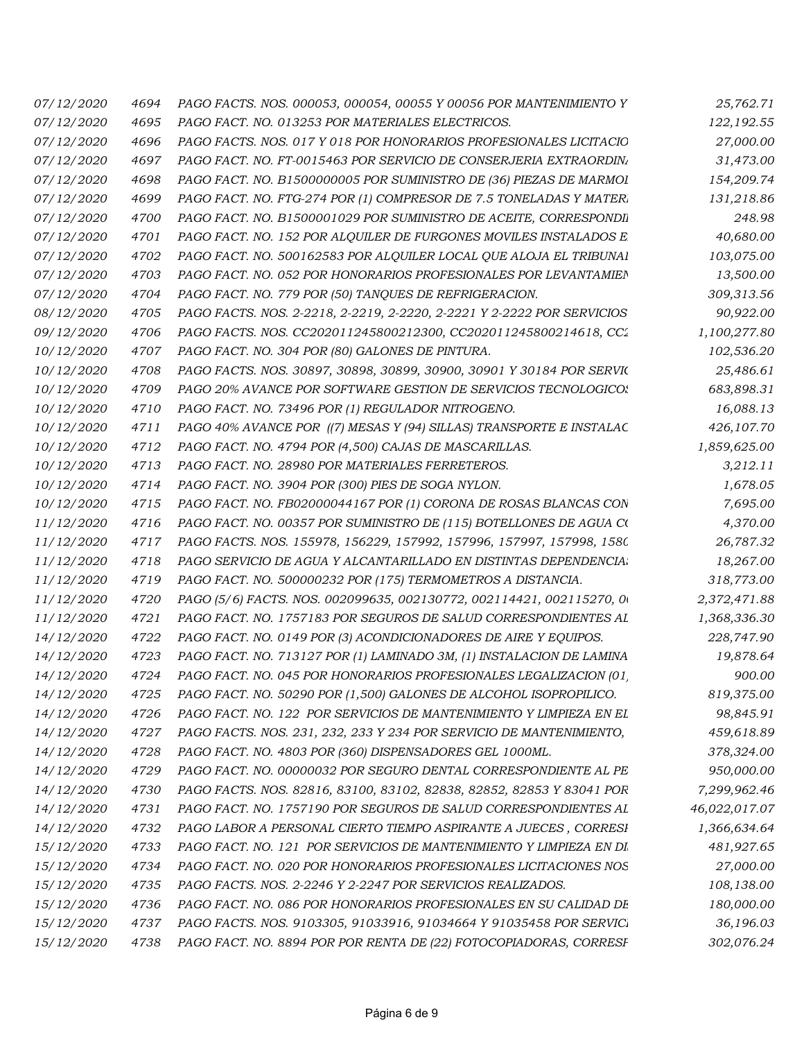| 07/12/2020        | 4694 | PAGO FACTS. NOS. 000053, 000054, 00055 Y 00056 POR MANTENIMIENTO Y     | 25,762.71     |
|-------------------|------|------------------------------------------------------------------------|---------------|
| <i>07/12/2020</i> | 4695 | PAGO FACT. NO. 013253 POR MATERIALES ELECTRICOS.                       | 122,192.55    |
| 07/12/2020        | 4696 | PAGO FACTS. NOS. 017 Y 018 POR HONORARIOS PROFESIONALES LICITACIO      | 27,000.00     |
| <i>07/12/2020</i> | 4697 | PAGO FACT. NO. FT-0015463 POR SERVICIO DE CONSERJERIA EXTRAORDINI      | 31,473.00     |
| 07/12/2020        | 4698 | PAGO FACT. NO. B1500000005 POR SUMINISTRO DE (36) PIEZAS DE MARMOI     | 154,209.74    |
| 07/12/2020        | 4699 | PAGO FACT. NO. FTG-274 POR (1) COMPRESOR DE 7.5 TONELADAS Y MATERI     | 131,218.86    |
| <i>07/12/2020</i> | 4700 | PAGO FACT. NO. B1500001029 POR SUMINISTRO DE ACEITE, CORRESPONDI       | 248.98        |
| 07/12/2020        | 4701 | PAGO FACT. NO. 152 POR ALQUILER DE FURGONES MOVILES INSTALADOS E       | 40,680.00     |
| <i>07/12/2020</i> | 4702 | PAGO FACT. NO. 500162583 POR ALQUILER LOCAL QUE ALOJA EL TRIBUNAI      | 103,075.00    |
| <i>07/12/2020</i> | 4703 | PAGO FACT. NO. 052 POR HONORARIOS PROFESIONALES POR LEVANTAMIEN        | 13,500.00     |
| 07/12/2020        | 4704 | PAGO FACT. NO. 779 POR (50) TANQUES DE REFRIGERACION.                  | 309,313.56    |
| 08/12/2020        | 4705 | PAGO FACTS. NOS. 2-2218, 2-2219, 2-2220, 2-2221 Y 2-2222 POR SERVICIOS | 90,922.00     |
| 09/12/2020        | 4706 | PAGO FACTS. NOS. CC202011245800212300, CC202011245800214618, CC2       | 1,100,277.80  |
| 10/12/2020        | 4707 | PAGO FACT. NO. 304 POR (80) GALONES DE PINTURA.                        | 102,536.20    |
| <i>10/12/2020</i> | 4708 | PAGO FACTS. NOS. 30897, 30898, 30899, 30900, 30901 Y 30184 POR SERVIC  | 25,486.61     |
| <i>10/12/2020</i> | 4709 | PAGO 20% AVANCE POR SOFTWARE GESTION DE SERVICIOS TECNOLOGICOS         | 683,898.31    |
| <i>10/12/2020</i> | 4710 | PAGO FACT. NO. 73496 POR (1) REGULADOR NITROGENO.                      | 16,088.13     |
| <i>10/12/2020</i> | 4711 | PAGO 40% AVANCE POR ((7) MESAS Y (94) SILLAS) TRANSPORTE E INSTALAC    | 426,107.70    |
| <i>10/12/2020</i> | 4712 | PAGO FACT. NO. 4794 POR (4,500) CAJAS DE MASCARILLAS.                  | 1,859,625.00  |
| <i>10/12/2020</i> | 4713 | PAGO FACT. NO. 28980 POR MATERIALES FERRETEROS.                        | 3,212.11      |
| 10/12/2020        | 4714 | PAGO FACT. NO. 3904 POR (300) PIES DE SOGA NYLON.                      | 1,678.05      |
| <i>10/12/2020</i> | 4715 | PAGO FACT. NO. FB02000044167 POR (1) CORONA DE ROSAS BLANCAS CON       | 7,695.00      |
| <i>11/12/2020</i> | 4716 | PAGO FACT. NO. 00357 POR SUMINISTRO DE (115) BOTELLONES DE AGUA CO     | 4,370.00      |
| <i>11/12/2020</i> | 4717 | PAGO FACTS. NOS. 155978, 156229, 157992, 157996, 157997, 157998, 1580  | 26,787.32     |
| <i>11/12/2020</i> | 4718 | PAGO SERVICIO DE AGUA Y ALCANTARILLADO EN DISTINTAS DEPENDENCIA.       | 18,267.00     |
| <i>11/12/2020</i> | 4719 | PAGO FACT. NO. 500000232 POR (175) TERMOMETROS A DISTANCIA.            | 318,773.00    |
| 11/12/2020        | 4720 | PAGO (5/6) FACTS. NOS. 002099635, 002130772, 002114421, 002115270, 00  | 2,372,471.88  |
| <i>11/12/2020</i> | 4721 | PAGO FACT. NO. 1757183 POR SEGUROS DE SALUD CORRESPONDIENTES AL        | 1,368,336.30  |
| <i>14/12/2020</i> | 4722 | PAGO FACT. NO. 0149 POR (3) ACONDICIONADORES DE AIRE Y EQUIPOS.        | 228,747.90    |
| 14/12/2020        | 4723 | PAGO FACT. NO. 713127 POR (1) LAMINADO 3M, (1) INSTALACION DE LAMINA   | 19,878.64     |
| 14/12/2020        | 4724 | PAGO FACT. NO. 045 POR HONORARIOS PROFESIONALES LEGALIZACION (01       | 900.00        |
| 14/12/2020        | 4725 | PAGO FACT. NO. 50290 POR (1,500) GALONES DE ALCOHOL ISOPROPILICO.      | 819,375.00    |
| 14/12/2020        | 4726 | PAGO FACT. NO. 122 POR SERVICIOS DE MANTENIMIENTO Y LIMPIEZA EN EL     | 98,845.91     |
| 14/12/2020        | 4727 | PAGO FACTS. NOS. 231, 232, 233 Y 234 POR SERVICIO DE MANTENIMIENTO,    | 459,618.89    |
| 14/12/2020        | 4728 | PAGO FACT. NO. 4803 POR (360) DISPENSADORES GEL 1000ML.                | 378,324.00    |
| 14/12/2020        | 4729 | PAGO FACT. NO. 00000032 POR SEGURO DENTAL CORRESPONDIENTE AL PE        | 950,000.00    |
| 14/12/2020        | 4730 | PAGO FACTS. NOS. 82816, 83100, 83102, 82838, 82852, 82853 Y 83041 POR  | 7,299,962.46  |
| 14/12/2020        | 4731 | PAGO FACT. NO. 1757190 POR SEGUROS DE SALUD CORRESPONDIENTES AL        | 46,022,017.07 |
| 14/12/2020        | 4732 | PAGO LABOR A PERSONAL CIERTO TIEMPO ASPIRANTE A JUECES, CORRESI        | 1,366,634.64  |
| 15/12/2020        | 4733 | PAGO FACT. NO. 121 POR SERVICIOS DE MANTENIMIENTO Y LIMPIEZA EN DI     | 481,927.65    |
| 15/12/2020        | 4734 | PAGO FACT. NO. 020 POR HONORARIOS PROFESIONALES LICITACIONES NOS       | 27,000.00     |
| 15/12/2020        | 4735 | PAGO FACTS. NOS. 2-2246 Y 2-2247 POR SERVICIOS REALIZADOS.             | 108,138.00    |
| 15/12/2020        | 4736 | PAGO FACT. NO. 086 POR HONORARIOS PROFESIONALES EN SU CALIDAD DE       | 180,000.00    |
| 15/12/2020        | 4737 | PAGO FACTS. NOS. 9103305, 91033916, 91034664 Y 91035458 POR SERVICI    | 36,196.03     |
| 15/12/2020        | 4738 | PAGO FACT. NO. 8894 POR POR RENTA DE (22) FOTOCOPIADORAS, CORRESF      | 302,076.24    |
|                   |      |                                                                        |               |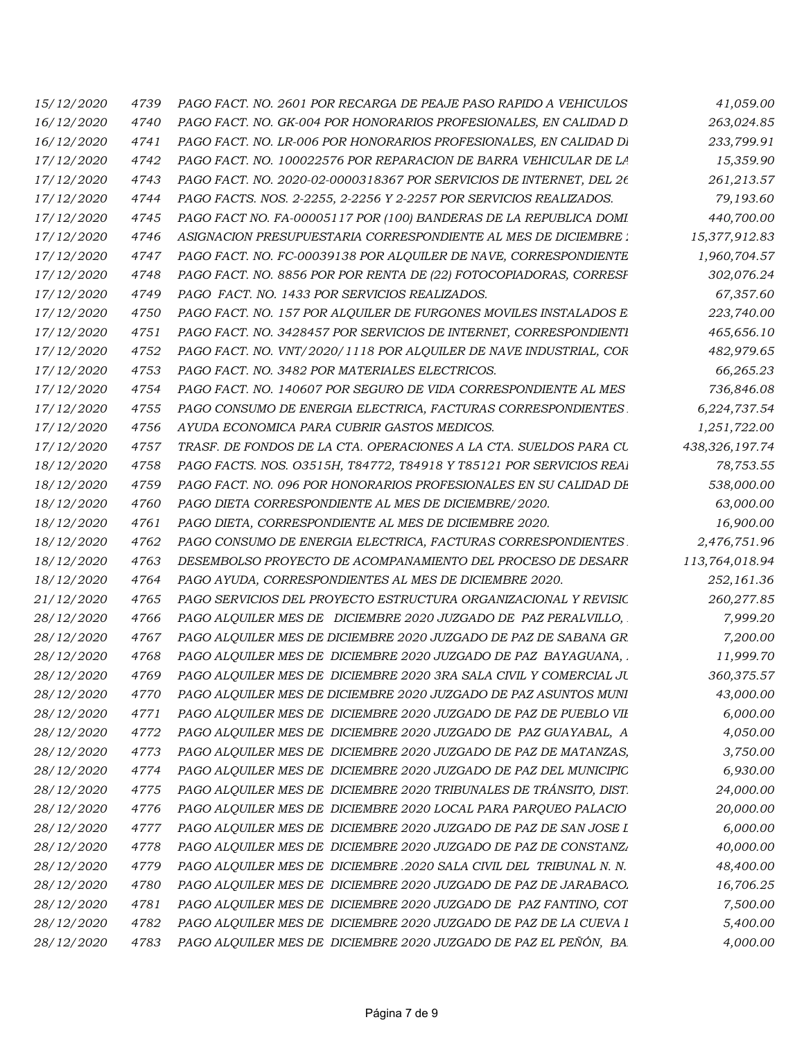| 15/12/2020        | 4739 | PAGO FACT. NO. 2601 POR RECARGA DE PEAJE PASO RAPIDO A VEHICULOS    | 41,059.00      |
|-------------------|------|---------------------------------------------------------------------|----------------|
| 16/12/2020        | 4740 | PAGO FACT. NO. GK-004 POR HONORARIOS PROFESIONALES, EN CALIDAD D    | 263,024.85     |
| <i>16/12/2020</i> | 4741 | PAGO FACT. NO. LR-006 POR HONORARIOS PROFESIONALES, EN CALIDAD DI   | 233,799.91     |
| 17/12/2020        | 4742 | PAGO FACT. NO. 100022576 POR REPARACION DE BARRA VEHICULAR DE LA    | 15,359.90      |
| 17/12/2020        | 4743 | PAGO FACT. NO. 2020-02-0000318367 POR SERVICIOS DE INTERNET, DEL 26 | 261,213.57     |
| 17/12/2020        | 4744 | PAGO FACTS. NOS. 2-2255, 2-2256 Y 2-2257 POR SERVICIOS REALIZADOS.  | 79,193.60      |
| 17/12/2020        | 4745 | PAGO FACT NO. FA-00005117 POR (100) BANDERAS DE LA REPUBLICA DOMI   | 440,700.00     |
| <i>17/12/2020</i> | 4746 | ASIGNACION PRESUPUESTARIA CORRESPONDIENTE AL MES DE DICIEMBRE :     | 15,377,912.83  |
| 17/12/2020        | 4747 | PAGO FACT. NO. FC-00039138 POR ALQUILER DE NAVE, CORRESPONDIENTE    | 1,960,704.57   |
| 17/12/2020        | 4748 | PAGO FACT. NO. 8856 POR POR RENTA DE (22) FOTOCOPIADORAS, CORRESF   | 302,076.24     |
| 17/12/2020        | 4749 | PAGO FACT. NO. 1433 POR SERVICIOS REALIZADOS.                       | 67,357.60      |
| 17/12/2020        | 4750 | PAGO FACT. NO. 157 POR ALQUILER DE FURGONES MOVILES INSTALADOS E    | 223,740.00     |
| 17/12/2020        | 4751 | PAGO FACT. NO. 3428457 POR SERVICIOS DE INTERNET, CORRESPONDIENTI   | 465,656.10     |
| 17/12/2020        | 4752 | PAGO FACT. NO. VNT/2020/1118 POR ALQUILER DE NAVE INDUSTRIAL, COR   | 482,979.65     |
| 17/12/2020        | 4753 | PAGO FACT. NO. 3482 POR MATERIALES ELECTRICOS.                      | 66,265.23      |
| 17/12/2020        | 4754 | PAGO FACT. NO. 140607 POR SEGURO DE VIDA CORRESPONDIENTE AL MES     | 736,846.08     |
| 17/12/2020        | 4755 | PAGO CONSUMO DE ENERGIA ELECTRICA, FACTURAS CORRESPONDIENTES.       | 6,224,737.54   |
| 17/12/2020        | 4756 | AYUDA ECONOMICA PARA CUBRIR GASTOS MEDICOS.                         | 1,251,722.00   |
| 17/12/2020        | 4757 | TRASF. DE FONDOS DE LA CTA. OPERACIONES A LA CTA. SUELDOS PARA CU   | 438,326,197.74 |
| 18/12/2020        | 4758 | PAGO FACTS. NOS. 03515H, T84772, T84918 Y T85121 POR SERVICIOS REAI | 78,753.55      |
| 18/12/2020        | 4759 | PAGO FACT. NO. 096 POR HONORARIOS PROFESIONALES EN SU CALIDAD DE    | 538,000.00     |
| 18/12/2020        | 4760 | PAGO DIETA CORRESPONDIENTE AL MES DE DICIEMBRE/2020.                | 63,000.00      |
| 18/12/2020        | 4761 | PAGO DIETA, CORRESPONDIENTE AL MES DE DICIEMBRE 2020.               | 16,900.00      |
| 18/12/2020        | 4762 | PAGO CONSUMO DE ENERGIA ELECTRICA, FACTURAS CORRESPONDIENTES.       | 2,476,751.96   |
| 18/12/2020        | 4763 | DESEMBOLSO PROYECTO DE ACOMPANAMIENTO DEL PROCESO DE DESARR         | 113,764,018.94 |
| 18/12/2020        | 4764 | PAGO AYUDA, CORRESPONDIENTES AL MES DE DICIEMBRE 2020.              | 252,161.36     |
| <i>21/12/2020</i> | 4765 | PAGO SERVICIOS DEL PROYECTO ESTRUCTURA ORGANIZACIONAL Y REVISIC     | 260,277.85     |
| 28/12/2020        | 4766 | PAGO ALQUILER MES DE DICIEMBRE 2020 JUZGADO DE PAZ PERALVILLO,      | 7,999.20       |
| 28/12/2020        | 4767 | PAGO ALQUILER MES DE DICIEMBRE 2020 JUZGADO DE PAZ DE SABANA GR     | 7,200.00       |
| 28/12/2020        | 4768 | PAGO ALQUILER MES DE DICIEMBRE 2020 JUZGADO DE PAZ BAYAGUANA,       | 11,999.70      |
| 28/12/2020        | 4769 | PAGO ALQUILER MES DE DICIEMBRE 2020 3RA SALA CIVIL Y COMERCIAL JU   | 360,375.57     |
| 28/12/2020        | 4770 | PAGO ALQUILER MES DE DICIEMBRE 2020 JUZGADO DE PAZ ASUNTOS MUNI     | 43,000.00      |
| 28/12/2020        | 4771 | PAGO ALQUILER MES DE DICIEMBRE 2020 JUZGADO DE PAZ DE PUEBLO VII    | 6,000.00       |
| 28/12/2020        | 4772 | PAGO ALQUILER MES DE DICIEMBRE 2020 JUZGADO DE PAZ GUAYABAL, A      | 4,050.00       |
| 28/12/2020        | 4773 | PAGO ALQUILER MES DE DICIEMBRE 2020 JUZGADO DE PAZ DE MATANZAS,     | 3,750.00       |
| 28/12/2020        | 4774 | PAGO ALQUILER MES DE DICIEMBRE 2020 JUZGADO DE PAZ DEL MUNICIPIO    | 6,930.00       |
| 28/12/2020        | 4775 | PAGO ALQUILER MES DE DICIEMBRE 2020 TRIBUNALES DE TRÁNSITO, DIST.   | 24,000.00      |
| 28/12/2020        | 4776 | PAGO ALQUILER MES DE DICIEMBRE 2020 LOCAL PARA PARQUEO PALACIO      | 20,000.00      |
| 28/12/2020        | 4777 | PAGO ALQUILER MES DE DICIEMBRE 2020 JUZGADO DE PAZ DE SAN JOSE I    | 6,000.00       |
| 28/12/2020        | 4778 | PAGO ALQUILER MES DE DICIEMBRE 2020 JUZGADO DE PAZ DE CONSTANZA     | 40,000.00      |
| 28/12/2020        | 4779 | PAGO ALQUILER MES DE DICIEMBRE .2020 SALA CIVIL DEL TRIBUNAL N. N.  | 48,400.00      |
| 28/12/2020        | 4780 | PAGO ALQUILER MES DE DICIEMBRE 2020 JUZGADO DE PAZ DE JARABACO.     | 16,706.25      |
| 28/12/2020        | 4781 | PAGO ALQUILER MES DE DICIEMBRE 2020 JUZGADO DE PAZ FANTINO, COT     | 7,500.00       |
| 28/12/2020        | 4782 | PAGO ALQUILER MES DE DICIEMBRE 2020 JUZGADO DE PAZ DE LA CUEVA I    | 5,400.00       |
| 28/12/2020        | 4783 | PAGO ALQUILER MES DE DICIEMBRE 2020 JUZGADO DE PAZ EL PEÑÓN, BA.    | 4,000.00       |
|                   |      |                                                                     |                |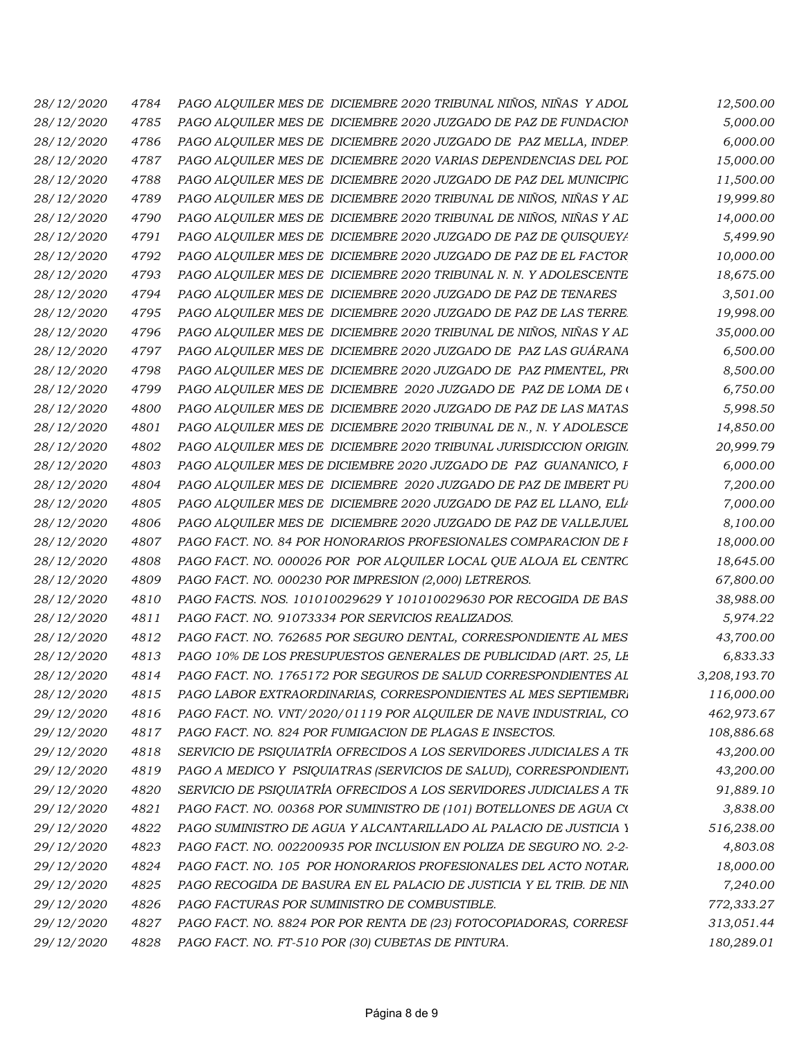| 4784 | PAGO ALQUILER MES DE DICIEMBRE 2020 TRIBUNAL NIÑOS, NIÑAS Y ADOL    | 12,500.00    |
|------|---------------------------------------------------------------------|--------------|
| 4785 | PAGO ALQUILER MES DE DICIEMBRE 2020 JUZGADO DE PAZ DE FUNDACION     | 5,000.00     |
| 4786 | PAGO ALQUILER MES DE DICIEMBRE 2020 JUZGADO DE PAZ MELLA, INDEP.    | 6,000.00     |
| 4787 | PAGO ALQUILER MES DE DICIEMBRE 2020 VARIAS DEPENDENCIAS DEL POL     | 15,000.00    |
| 4788 | PAGO ALQUILER MES DE DICIEMBRE 2020 JUZGADO DE PAZ DEL MUNICIPIO    | 11,500.00    |
| 4789 | PAGO ALQUILER MES DE DICIEMBRE 2020 TRIBUNAL DE NIÑOS, NIÑAS Y AD   | 19,999.80    |
| 4790 | PAGO ALQUILER MES DE DICIEMBRE 2020 TRIBUNAL DE NIÑOS, NIÑAS Y AD   | 14,000.00    |
| 4791 | PAGO ALQUILER MES DE DICIEMBRE 2020 JUZGADO DE PAZ DE QUISQUEYA     | 5,499.90     |
| 4792 | PAGO ALQUILER MES DE DICIEMBRE 2020 JUZGADO DE PAZ DE EL FACTOR     | 10,000.00    |
| 4793 | PAGO ALQUILER MES DE DICIEMBRE 2020 TRIBUNAL N. N. Y ADOLESCENTE    | 18,675.00    |
| 4794 | PAGO ALQUILER MES DE DICIEMBRE 2020 JUZGADO DE PAZ DE TENARES       | 3,501.00     |
| 4795 | PAGO ALQUILER MES DE DICIEMBRE 2020 JUZGADO DE PAZ DE LAS TERRE.    | 19,998.00    |
| 4796 | PAGO ALQUILER MES DE DICIEMBRE 2020 TRIBUNAL DE NIÑOS, NIÑAS Y AD   | 35,000.00    |
| 4797 | PAGO ALQUILER MES DE DICIEMBRE 2020 JUZGADO DE PAZ LAS GUÁRANA      | 6,500.00     |
| 4798 | PAGO ALQUILER MES DE DICIEMBRE 2020 JUZGADO DE PAZ PIMENTEL, PRO    | 8,500.00     |
| 4799 | PAGO ALQUILER MES DE DICIEMBRE 2020 JUZGADO DE PAZ DE LOMA DE (     | 6,750.00     |
| 4800 | PAGO ALQUILER MES DE DICIEMBRE 2020 JUZGADO DE PAZ DE LAS MATAS     | 5,998.50     |
| 4801 | PAGO ALOUILER MES DE DICIEMBRE 2020 TRIBUNAL DE N., N. Y ADOLESCE   | 14,850.00    |
| 4802 | PAGO ALQUILER MES DE DICIEMBRE 2020 TRIBUNAL JURISDICCION ORIGIN.   | 20,999.79    |
| 4803 | PAGO ALQUILER MES DE DICIEMBRE 2020 JUZGADO DE PAZ GUANANICO, F     | 6,000.00     |
| 4804 | PAGO ALQUILER MES DE DICIEMBRE 2020 JUZGADO DE PAZ DE IMBERT PU     | 7,200.00     |
| 4805 | PAGO ALQUILER MES DE DICIEMBRE 2020 JUZGADO DE PAZ EL LLANO, ELÍP   | 7,000.00     |
| 4806 | PAGO ALQUILER MES DE DICIEMBRE 2020 JUZGADO DE PAZ DE VALLEJUEL     | 8,100.00     |
| 4807 | PAGO FACT. NO. 84 POR HONORARIOS PROFESIONALES COMPARACION DE F     | 18,000.00    |
| 4808 | PAGO FACT. NO. 000026 POR POR ALQUILER LOCAL QUE ALOJA EL CENTRC    | 18,645.00    |
| 4809 | PAGO FACT. NO. 000230 POR IMPRESION (2,000) LETREROS.               | 67,800.00    |
| 4810 | PAGO FACTS. NOS. 101010029629 Y 101010029630 POR RECOGIDA DE BAS    | 38,988.00    |
| 4811 | PAGO FACT. NO. 91073334 POR SERVICIOS REALIZADOS.                   | 5,974.22     |
| 4812 | PAGO FACT. NO. 762685 POR SEGURO DENTAL, CORRESPONDIENTE AL MES     | 43,700.00    |
| 4813 | PAGO 10% DE LOS PRESUPUESTOS GENERALES DE PUBLICIDAD (ART. 25, LE   | 6,833.33     |
| 4814 | PAGO FACT. NO. 1765172 POR SEGUROS DE SALUD CORRESPONDIENTES AL     | 3,208,193.70 |
| 4815 | PAGO LABOR EXTRAORDINARIAS, CORRESPONDIENTES AL MES SEPTIEMBRI      | 116,000.00   |
| 4816 | PAGO FACT. NO. VNT/2020/01119 POR ALQUILER DE NAVE INDUSTRIAL, CO   | 462,973.67   |
| 4817 | PAGO FACT. NO. 824 POR FUMIGACION DE PLAGAS E INSECTOS.             | 108,886.68   |
| 4818 | SERVICIO DE PSIQUIATRÍA OFRECIDOS A LOS SERVIDORES JUDICIALES A TR  | 43,200.00    |
| 4819 | PAGO A MEDICO Y PSIQUIATRAS (SERVICIOS DE SALUD), CORRESPONDIENTI   | 43,200.00    |
| 4820 | SERVICIO DE PSIQUIATRÍA OFRECIDOS A LOS SERVIDORES JUDICIALES A TR  | 91,889.10    |
| 4821 | PAGO FACT. NO. 00368 POR SUMINISTRO DE (101) BOTELLONES DE AGUA CO  | 3,838.00     |
| 4822 | PAGO SUMINISTRO DE AGUA Y ALCANTARILLADO AL PALACIO DE JUSTICIA Y   | 516,238.00   |
| 4823 | PAGO FACT. NO. 002200935 POR INCLUSION EN POLIZA DE SEGURO NO. 2-2- | 4,803.08     |
| 4824 | PAGO FACT. NO. 105 POR HONORARIOS PROFESIONALES DEL ACTO NOTARI     | 18,000.00    |
| 4825 | PAGO RECOGIDA DE BASURA EN EL PALACIO DE JUSTICIA Y EL TRIB. DE NIN | 7,240.00     |
| 4826 | PAGO FACTURAS POR SUMINISTRO DE COMBUSTIBLE.                        | 772,333.27   |
| 4827 | PAGO FACT. NO. 8824 POR POR RENTA DE (23) FOTOCOPIADORAS, CORRESF   | 313,051.44   |
| 4828 | PAGO FACT. NO. FT-510 POR (30) CUBETAS DE PINTURA.                  | 180,289.01   |
|      |                                                                     |              |